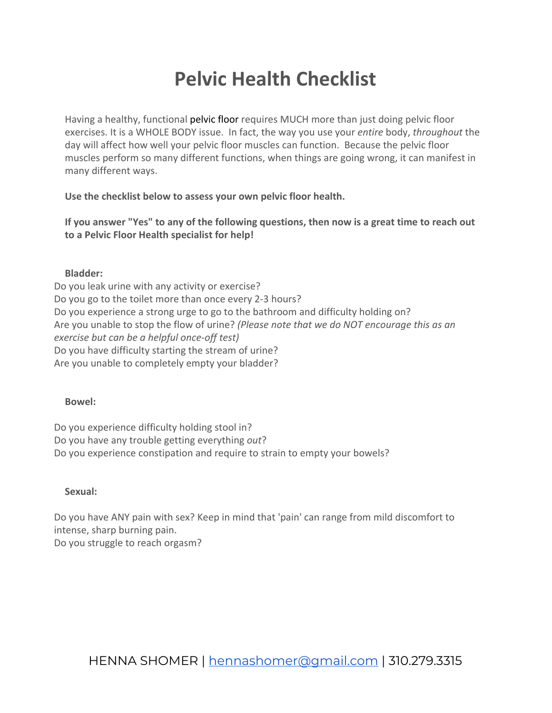# **Pelvic Health Checklist**

Having a healthy, functional [pelvic floor](http://www.bodyandbirthphysio.com/) requires MUCH more than just doing pelvic floor exercises. It is a WHOLE BODY issue. In fact, the way you use your *entire* body, *throughout* the day will affect how well your pelvic floor muscles can function. Because the pelvic floor muscles perform so many different functions, when things are going wrong, it can manifest in many different ways.

**Use the checklist below to assess your own pelvic floor health.** 

**If you answer "Yes" to any of the following questions, then now is a great time to reach out to a Pelvic Floor Health specialist for help!**

### **Bladder:**

Do you leak urine with any activity or exercise? Do you go to the toilet more than once every 2-3 hours? Do you experience a strong urge to go to the bathroom and difficulty holding on? Are you unable to stop the flow of urine? *(Please note that we do NOT encourage this as an exercise but can be a helpful once-off test)* Do you have difficulty starting the stream of urine? Are you unable to completely empty your bladder?

#### **Bowel:**

Do you experience difficulty holding stool in? Do you have any trouble getting everything *out*? Do you experience constipation and require to strain to empty your bowels?

## **Sexual:**

Do you have ANY pain with sex? Keep in mind that 'pain' can range from mild discomfort to intense, sharp burning pain. Do you struggle to reach orgasm?